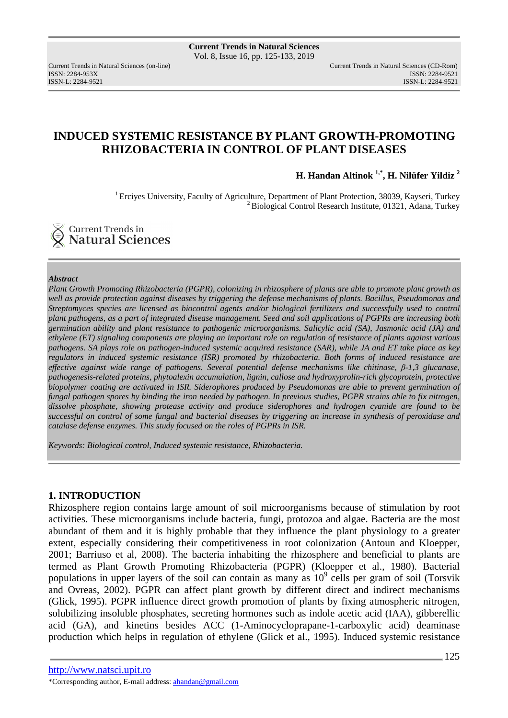ISSN: 2284-953XISSN: 2284-9521

Current Trends in Natural Sciences (on-line) Current Trends in Natural Sciences (CD-Rom) ISSN-L: 2284-9521

# **INDUCED SYSTEMIC RESISTANCE BY PLANT GROWTH-PROMOTING RHIZOBACTERIA IN CONTROL OF PLANT DISEASES**

**H. Handan Altinok 1,\*, H. Nilüfer Yildiz <sup>2</sup>**

<sup>1</sup> Erciyes University, Faculty of Agriculture, Department of Plant Protection, 38039, Kayseri, Turkey <sup>2</sup> Biological Control Research Institute, 01321, Adana, Turkey

Current Trends in **Natural Sciences** 

#### *Abstract*

*Plant Growth Promoting Rhizobacteria (PGPR), colonizing in rhizosphere of plants are able to promote plant growth as well as provide protection against diseases by triggering the defense mechanisms of plants. Bacillus, Pseudomonas and Streptomyces species are licensed as biocontrol agents and/or biological fertilizers and successfully used to control plant pathogens, as a part of integrated disease management. Seed and soil applications of PGPRs are increasing both germination ability and plant resistance to pathogenic microorganisms. Salicylic acid (SA), Jasmonic acid (JA) and ethylene (ET) signaling components are playing an important role on regulation of resistance of plants against various pathogens. SA plays role on pathogen-induced systemic acquired resistance (SAR), while JA and ET take place as key regulators in induced systemic resistance (ISR) promoted by rhizobacteria. Both forms of induced resistance are effective against wide range of pathogens. Several potential defense mechanisms like chitinase, β-1,3 glucanase, pathogenesis-related proteins, phytoalexin accumulation, lignin, callose and hydroxyprolin-rich glycoprotein, protective biopolymer coating are activated in ISR. Siderophores produced by Pseudomonas are able to prevent germination of fungal pathogen spores by binding the iron needed by pathogen. In previous studies, PGPR strains able to fix nitrogen, dissolve phosphate, showing protease activity and produce siderophores and hydrogen cyanide are found to be successful on control of some fungal and bacterial diseases by triggering an increase in synthesis of peroxidase and catalase defense enzymes. This study focused on the roles of PGPRs in ISR.* 

*Keywords: Biological control, Induced systemic resistance, Rhizobacteria.* 

## **1. INTRODUCTION**

Rhizosphere region contains large amount of soil microorganisms because of stimulation by root activities. These microorganisms include bacteria, fungi, protozoa and algae. Bacteria are the most abundant of them and it is highly probable that they influence the plant physiology to a greater extent, especially considering their competitiveness in root colonization (Antoun and Kloepper, 2001; Barriuso et al, 2008). The bacteria inhabiting the rhizosphere and beneficial to plants are termed as Plant Growth Promoting Rhizobacteria (PGPR) (Kloepper et al., 1980). Bacterial populations in upper layers of the soil can contain as many as  $10<sup>9</sup>$  cells per gram of soil (Torsvik and Ovreas, 2002). PGPR can affect plant growth by different direct and indirect mechanisms (Glick, 1995). PGPR influence direct growth promotion of plants by fixing atmospheric nitrogen, solubilizing insoluble phosphates, secreting hormones such as indole acetic acid (IAA), gibberellic acid (GA), and kinetins besides ACC (1-Aminocycloprapane-1-carboxylic acid) deaminase production which helps in regulation of ethylene (Glick et al., 1995). Induced systemic resistance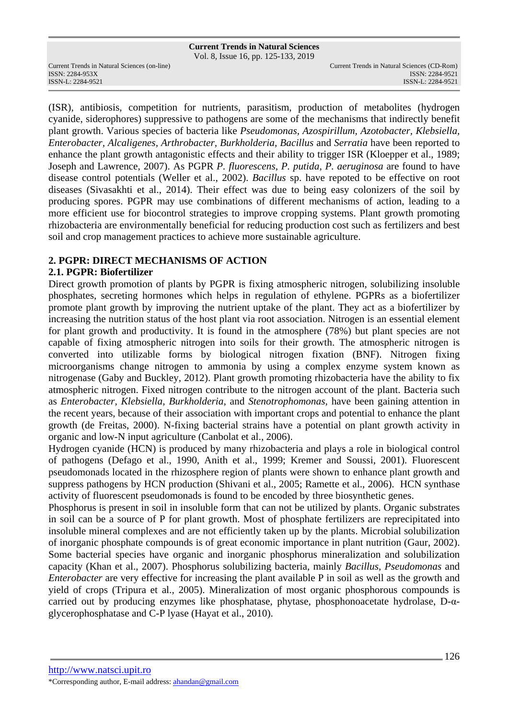Vol. 8, Issue 16, pp. 125-133, 2019

ISSN: 2284-953XISSN: 2284-9521

(ISR), antibiosis, competition for nutrients, parasitism, production of metabolites (hydrogen cyanide, siderophores) suppressive to pathogens are some of the mechanisms that indirectly benefit plant growth. Various species of bacteria like *Pseudomonas, Azospirillum, Azotobacter, Klebsiella, Enterobacter, Alcaligenes, Arthrobacter, Burkholderia, Bacillus* and *Serratia* have been reported to enhance the plant growth antagonistic effects and their ability to trigger ISR (Kloepper et al., 1989; Joseph and Lawrence, 2007). As PGPR *P. fluorescens, P. putida, P. aeruginosa* are found to have disease control potentials (Weller et al., 2002). *Bacillus* sp. have repoted to be effective on root diseases (Sivasakhti et al., 2014). Their effect was due to being easy colonizers of the soil by producing spores. PGPR may use combinations of different mechanisms of action, leading to a more efficient use for biocontrol strategies to improve cropping systems. Plant growth promoting rhizobacteria are environmentally beneficial for reducing production cost such as fertilizers and best soil and crop management practices to achieve more sustainable agriculture.

# **2. PGPR: DIRECT MECHANISMS OF ACTION**

## **2.1. PGPR: Biofertilizer**

Direct growth promotion of plants by PGPR is fixing atmospheric nitrogen, solubilizing insoluble phosphates, secreting hormones which helps in regulation of ethylene. PGPRs as a biofertilizer promote plant growth by improving the nutrient uptake of the plant. They act as a biofertilizer by increasing the nutrition status of the host plant via root association. Nitrogen is an essential element for plant growth and productivity. It is found in the atmosphere (78%) but plant species are not capable of fixing atmospheric nitrogen into soils for their growth. The atmospheric nitrogen is converted into utilizable forms by biological nitrogen fixation (BNF). Nitrogen fixing microorganisms change nitrogen to ammonia by using a complex enzyme system known as nitrogenase (Gaby and Buckley, 2012). Plant growth promoting rhizobacteria have the ability to fix atmospheric nitrogen. Fixed nitrogen contribute to the nitrogen account of the plant. Bacteria such as *Enterobacter, Klebsiella, Burkholderia,* and *Stenotrophomonas,* have been gaining attention in the recent years, because of their association with important crops and potential to enhance the plant growth (de Freitas, 2000). N-fixing bacterial strains have a potential on plant growth activity in organic and low-N input agriculture (Canbolat et al., 2006).

Hydrogen cyanide (HCN) is produced by many rhizobacteria and plays a role in biological control of pathogens (Defago et al., 1990, Anith et al., 1999; Kremer and Soussi, 2001). Fluorescent pseudomonads located in the rhizosphere region of plants were shown to enhance plant growth and suppress pathogens by HCN production (Shivani et al., 2005; Ramette et al., 2006). HCN synthase activity of fluorescent pseudomonads is found to be encoded by three biosynthetic genes.

Phosphorus is present in soil in insoluble form that can not be utilized by plants. Organic substrates in soil can be a source of P for plant growth. Most of phosphate fertilizers are reprecipitated into insoluble mineral complexes and are not efficiently taken up by the plants. Microbial solubilization of inorganic phosphate compounds is of great economic importance in plant nutrition (Gaur, 2002). Some bacterial species have organic and inorganic phosphorus mineralization and solubilization capacity (Khan et al., 2007). Phosphorus solubilizing bacteria, mainly *Bacillus, Pseudomonas* and *Enterobacter* are very effective for increasing the plant available P in soil as well as the growth and yield of crops (Tripura et al., 2005). Mineralization of most organic phosphorous compounds is carried out by producing enzymes like phosphatase, phytase, phosphonoacetate hydrolase, D-αglycerophosphatase and C-P lyase (Hayat et al., 2010).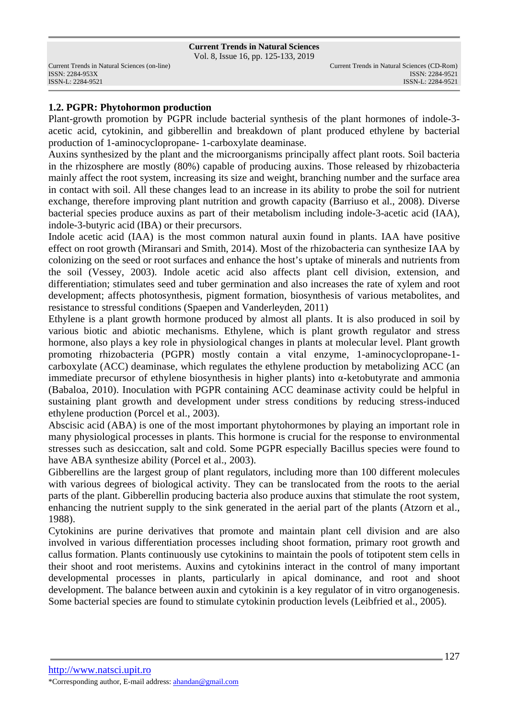Vol. 8, Issue 16, pp. 125-133, 2019

ISSN: 2284-953XISSN: 2284-9521

## **1.2. PGPR: Phytohormon production**

Plant-growth promotion by PGPR include bacterial synthesis of the plant hormones of indole-3 acetic acid, cytokinin, and gibberellin and breakdown of plant produced ethylene by bacterial production of 1-aminocyclopropane- 1-carboxylate deaminase.

Auxins synthesized by the plant and the microorganisms principally affect plant roots. Soil bacteria in the rhizosphere are mostly (80%) capable of producing auxins. Those released by rhizobacteria mainly affect the root system, increasing its size and weight, branching number and the surface area in contact with soil. All these changes lead to an increase in its ability to probe the soil for nutrient exchange, therefore improving plant nutrition and growth capacity (Barriuso et al., 2008). Diverse bacterial species produce auxins as part of their metabolism including indole-3-acetic acid (IAA), indole-3-butyric acid (IBA) or their precursors.

Indole acetic acid (IAA) is the most common natural auxin found in plants. IAA have positive effect on root growth (Miransari and Smith, 2014). Most of the rhizobacteria can synthesize IAA by colonizing on the seed or root surfaces and enhance the host's uptake of minerals and nutrients from the soil (Vessey, 2003). Indole acetic acid also affects plant cell division, extension, and differentiation; stimulates seed and tuber germination and also increases the rate of xylem and root development; affects photosynthesis, pigment formation, biosynthesis of various metabolites, and resistance to stressful conditions (Spaepen and Vanderleyden, 2011)

Ethylene is a plant growth hormone produced by almost all plants. It is also produced in soil by various biotic and abiotic mechanisms. Ethylene, which is plant growth regulator and stress hormone, also plays a key role in physiological changes in plants at molecular level. Plant growth promoting rhizobacteria (PGPR) mostly contain a vital enzyme, 1-aminocyclopropane-1 carboxylate (ACC) deaminase, which regulates the ethylene production by metabolizing ACC (an immediate precursor of ethylene biosynthesis in higher plants) into α-ketobutyrate and ammonia (Babaloa, 2010). Inoculation with PGPR containing ACC deaminase activity could be helpful in sustaining plant growth and development under stress conditions by reducing stress-induced ethylene production (Porcel et al., 2003).

Abscisic acid (ABA) is one of the most important phytohormones by playing an important role in many physiological processes in plants. This hormone is crucial for the response to environmental stresses such as desiccation, salt and cold. Some PGPR especially Bacillus species were found to have ABA synthesize ability (Porcel et al., 2003).

Gibberellins are the largest group of plant regulators, including more than 100 different molecules with various degrees of biological activity. They can be translocated from the roots to the aerial parts of the plant. Gibberellin producing bacteria also produce auxins that stimulate the root system, enhancing the nutrient supply to the sink generated in the aerial part of the plants (Atzorn et al., 1988).

Cytokinins are purine derivatives that promote and maintain plant cell division and are also involved in various differentiation processes including shoot formation, primary root growth and callus formation. Plants continuously use cytokinins to maintain the pools of totipotent stem cells in their shoot and root meristems. Auxins and cytokinins interact in the control of many important developmental processes in plants, particularly in apical dominance, and root and shoot development. The balance between auxin and cytokinin is a key regulator of in vitro organogenesis. Some bacterial species are found to stimulate cytokinin production levels (Leibfried et al., 2005).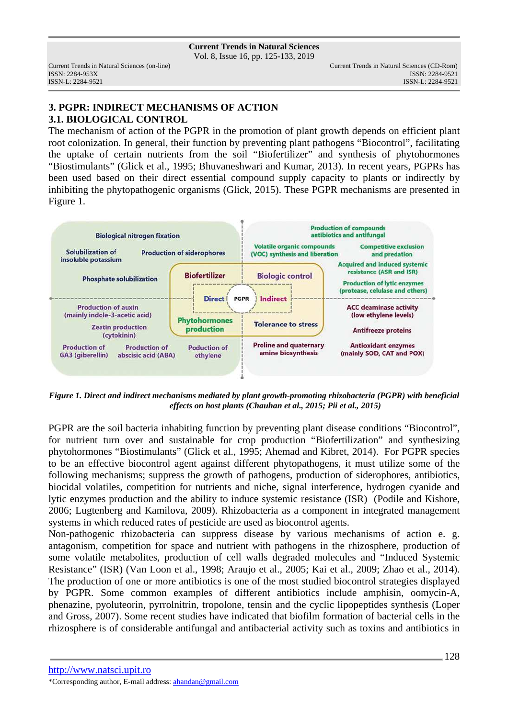Vol. 8, Issue 16, pp. 125-133, 2019

# **3. PGPR: INDIRECT MECHANISMS OF ACTION 3.1. BIOLOGICAL CONTROL**

The mechanism of action of the PGPR in the promotion of plant growth depends on efficient plant root colonization. In general, their function by preventing plant pathogens "Biocontrol", facilitating the uptake of certain nutrients from the soil "Biofertilizer" and synthesis of phytohormones "Biostimulants" (Glick et al., 1995; Bhuvaneshwari and Kumar, 2013). In recent years, PGPRs has been used based on their direct essential compound supply capacity to plants or indirectly by inhibiting the phytopathogenic organisms (Glick, 2015). These PGPR mechanisms are presented in Figure 1.



*Figure 1. Direct and indirect mechanisms mediated by plant growth-promoting rhizobacteria (PGPR) with beneficial effects on host plants (Chauhan et al., 2015; Pii et al., 2015)* 

PGPR are the soil bacteria inhabiting function by preventing plant disease conditions "Biocontrol", for nutrient turn over and sustainable for crop production "Biofertilization" and synthesizing phytohormones "Biostimulants" (Glick et al., 1995; Ahemad and Kibret, 2014). For PGPR species to be an effective biocontrol agent against different phytopathogens, it must utilize some of the following mechanisms; suppress the growth of pathogens, production of siderophores, antibiotics, biocidal volatiles, competition for nutrients and niche, signal interference, hydrogen cyanide and lytic enzymes production and the ability to induce systemic resistance (ISR) (Podile and Kishore, 2006; Lugtenberg and Kamilova, 2009). Rhizobacteria as a component in integrated management systems in which reduced rates of pesticide are used as biocontrol agents.

Non-pathogenic rhizobacteria can suppress disease by various mechanisms of action e. g. antagonism, competition for space and nutrient with pathogens in the rhizosphere, production of some volatile metabolites, production of cell walls degraded molecules and "Induced Systemic Resistance" (ISR) (Van Loon et al., 1998; Araujo et al., 2005; Kai et al., 2009; Zhao et al., 2014). The production of one or more antibiotics is one of the most studied biocontrol strategies displayed by PGPR. Some common examples of different antibiotics include amphisin, oomycin-A, phenazine, pyoluteorin, pyrrolnitrin, tropolone, tensin and the cyclic lipopeptides synthesis (Loper and Gross, 2007). Some recent studies have indicated that biofilm formation of bacterial cells in the rhizosphere is of considerable antifungal and antibacterial activity such as toxins and antibiotics in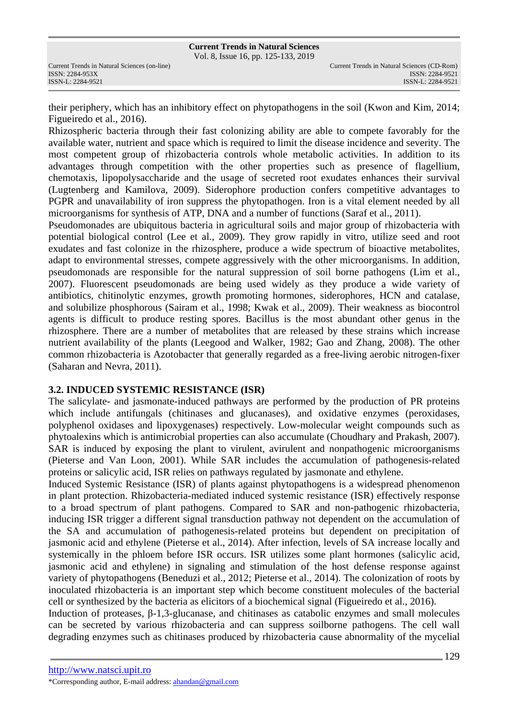their periphery, which has an inhibitory effect on phytopathogens in the soil (Kwon and Kim, 2014; Figueiredo et al., 2016).

Rhizospheric bacteria through their fast colonizing ability are able to compete favorably for the available water, nutrient and space which is required to limit the disease incidence and severity. The most competent group of rhizobacteria controls whole metabolic activities. In addition to its advantages through competition with the other properties such as presence of flagellium, chemotaxis, lipopolysaccharide and the usage of secreted root exudates enhances their survival (Lugtenberg and Kamilova, 2009). Siderophore production confers competitive advantages to PGPR and unavailability of iron suppress the phytopathogen. Iron is a vital element needed by all microorganisms for synthesis of ATP, DNA and a number of functions (Saraf et al., 2011).

Pseudomonades are ubiquitous bacteria in agricultural soils and major group of rhizobacteria with potential biological control (Lee et al., 2009). They grow rapidly in vitro, utilize seed and root exudates and fast colonize in the rhizosphere, produce a wide spectrum of bioactive metabolites, adapt to environmental stresses, compete aggressively with the other microorganisms. In addition, pseudomonads are responsible for the natural suppression of soil borne pathogens (Lim et al., 2007). Fluorescent pseudomonads are being used widely as they produce a wide variety of antibiotics, chitinolytic enzymes, growth promoting hormones, siderophores, HCN and catalase, and solubilize phosphorous (Sairam et al., 1998; Kwak et al., 2009). Their weakness as biocontrol agents is difficult to produce resting spores. Bacillus is the most abundant other genus in the rhizosphere. There are a number of metabolites that are released by these strains which increase nutrient availability of the plants (Leegood and Walker, 1982; Gao and Zhang, 2008). The other common rhizobacteria is Azotobacter that generally regarded as a free-living aerobic nitrogen-fixer (Saharan and Nevra, 2011).

## **3.2. INDUCED SYSTEMIC RESISTANCE (ISR)**

The salicylate- and jasmonate-induced pathways are performed by the production of PR proteins which include antifungals (chitinases and glucanases), and oxidative enzymes (peroxidases, polyphenol oxidases and lipoxygenases) respectively. Low-molecular weight compounds such as phytoalexins which is antimicrobial properties can also accumulate (Choudhary and Prakash, 2007). SAR is induced by exposing the plant to virulent, avirulent and nonpathogenic microorganisms (Pieterse and Van Loon, 2001). While SAR includes the accumulation of pathogenesis-related proteins or salicylic acid, ISR relies on pathways regulated by jasmonate and ethylene.

Induced Systemic Resistance (ISR) of plants against phytopathogens is a widespread phenomenon in plant protection. Rhizobacteria-mediated induced systemic resistance (ISR) effectively response to a broad spectrum of plant pathogens. Compared to SAR and non-pathogenic rhizobacteria, inducing ISR trigger a different signal transduction pathway not dependent on the accumulation of the SA and accumulation of pathogenesis-related proteins but dependent on precipitation of jasmonic acid and ethylene (Pieterse et al., 2014). After infection, levels of SA increase locally and systemically in the phloem before ISR occurs. ISR utilizes some plant hormones (salicylic acid, jasmonic acid and ethylene) in signaling and stimulation of the host defense response against variety of phytopathogens (Beneduzi et al., 2012; Pieterse et al., 2014). The colonization of roots by inoculated rhizobacteria is an important step which become constituent molecules of the bacterial cell or synthesized by the bacteria as elicitors of a biochemical signal (Figueiredo et al., 2016).

Induction of proteases, β-1,3-glucanase, and chitinases as catabolic enzymes and small molecules can be secreted by various rhizobacteria and can suppress soilborne pathogens. The cell wall degrading enzymes such as chitinases produced by rhizobacteria cause abnormality of the mycelial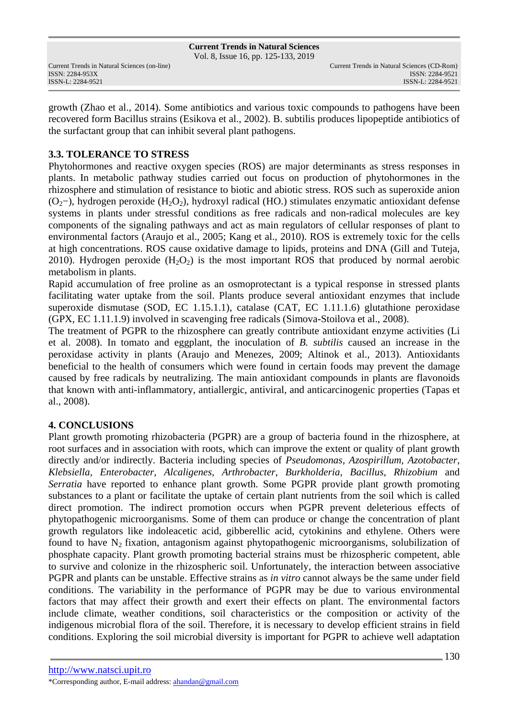**Current Trends in Natural Sciences** Vol. 8, Issue 16, pp. 125-133, 2019

ISSN: 2284-953XISSN: 2284-9521

growth (Zhao et al., 2014). Some antibiotics and various toxic compounds to pathogens have been recovered form Bacillus strains (Esikova et al., 2002). B. subtilis produces lipopeptide antibiotics of the surfactant group that can inhibit several plant pathogens.

# **3.3. TOLERANCE TO STRESS**

Phytohormones and reactive oxygen species (ROS) are major determinants as stress responses in plants. In metabolic pathway studies carried out focus on production of phytohormones in the rhizosphere and stimulation of resistance to biotic and abiotic stress. ROS such as superoxide anion (O2−), hydrogen peroxide (H2O2), hydroxyl radical (HO.) stimulates enzymatic antioxidant defense systems in plants under stressful conditions as free radicals and non-radical molecules are key components of the signaling pathways and act as main regulators of cellular responses of plant to environmental factors (Araujo et al., 2005; Kang et al., 2010). ROS is extremely toxic for the cells at high concentrations. ROS cause oxidative damage to lipids, proteins and DNA (Gill and Tuteja, 2010). Hydrogen peroxide  $(H_2O_2)$  is the most important ROS that produced by normal aerobic metabolism in plants.

Rapid accumulation of free proline as an osmoprotectant is a typical response in stressed plants facilitating water uptake from the soil. Plants produce several antioxidant enzymes that include superoxide dismutase (SOD, EC 1.15.1.1), catalase (CAT, EC 1.11.1.6) glutathione peroxidase (GPX, EC 1.11.1.9) involved in scavenging free radicals (Simova-Stoilova et al., 2008).

The treatment of PGPR to the rhizosphere can greatly contribute antioxidant enzyme activities (Li et al. 2008). In tomato and eggplant, the inoculation of *B. subtilis* caused an increase in the peroxidase activity in plants (Araujo and Menezes, 2009; Altinok et al., 2013). Antioxidants beneficial to the health of consumers which were found in certain foods may prevent the damage caused by free radicals by neutralizing. The main antioxidant compounds in plants are flavonoids that known with anti-inflammatory, antiallergic, antiviral, and anticarcinogenic properties (Tapas et al., 2008).

## **4. CONCLUSIONS**

Plant growth promoting rhizobacteria (PGPR) are a group of bacteria found in the rhizosphere, at root surfaces and in association with roots, which can improve the extent or quality of plant growth directly and/or indirectly. Bacteria including species of *Pseudomonas, Azospirillum, Azotobacter, Klebsiella, Enterobacter, Alcaligenes, Arthrobacter, Burkholderia, Bacillus, Rhizobium* and *Serratia* have reported to enhance plant growth. Some PGPR provide plant growth promoting substances to a plant or facilitate the uptake of certain plant nutrients from the soil which is called direct promotion. The indirect promotion occurs when PGPR prevent deleterious effects of phytopathogenic microorganisms. Some of them can produce or change the concentration of plant growth regulators like indoleacetic acid, gibberellic acid, cytokinins and ethylene. Others were found to have  $N_2$  fixation, antagonism against phytopathogenic microorganisms, solubilization of phosphate capacity. Plant growth promoting bacterial strains must be rhizospheric competent, able to survive and colonize in the rhizospheric soil. Unfortunately, the interaction between associative PGPR and plants can be unstable. Effective strains as *in vitro* cannot always be the same under field conditions. The variability in the performance of PGPR may be due to various environmental factors that may affect their growth and exert their effects on plant. The environmental factors include climate, weather conditions, soil characteristics or the composition or activity of the indigenous microbial flora of the soil. Therefore, it is necessary to develop efficient strains in field conditions. Exploring the soil microbial diversity is important for PGPR to achieve well adaptation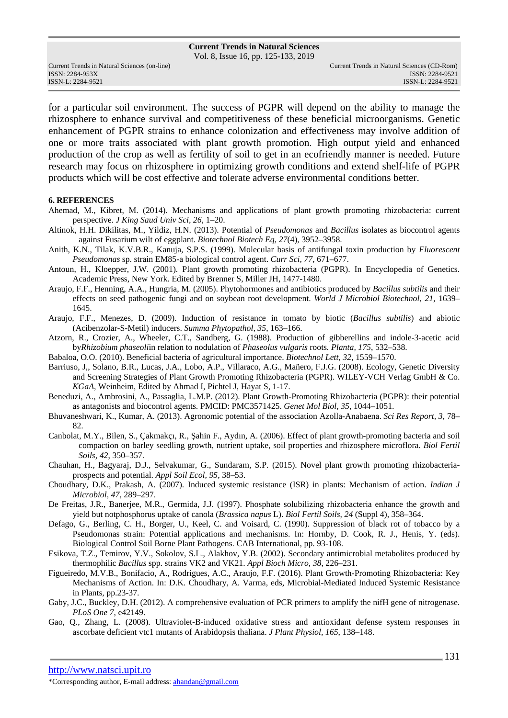Vol. 8, Issue 16, pp. 125-133, 2019

for a particular soil environment. The success of PGPR will depend on the ability to manage the rhizosphere to enhance survival and competitiveness of these beneficial microorganisms. Genetic enhancement of PGPR strains to enhance colonization and effectiveness may involve addition of one or more traits associated with plant growth promotion. High output yield and enhanced production of the crop as well as fertility of soil to get in an ecofriendly manner is needed. Future research may focus on rhizosphere in optimizing growth conditions and extend shelf-life of PGPR products which will be cost effective and tolerate adverse environmental conditions better.

#### **6. REFERENCES**

- Ahemad, M., Kibret, M. (2014). Mechanisms and applications of plant growth promoting rhizobacteria: current perspective. *J King Saud Univ Sci, 26*, 1–20.
- Altinok, H.H. Dikilitas, M., Yildiz, H.N. (2013). Potential of *Pseudomonas* and *Bacillus* isolates as biocontrol agents against Fusarium wilt of eggplant. *Biotechnol Biotech Eq, 27*(4), 3952–3958.
- Anith, K.N., Tilak, K.V.B.R., Kanuja, S.P.S. (1999). Molecular basis of antifungal toxin production by *Fluorescent Pseudomonas* sp. strain EM85-a biological control agent. *Curr Sci, 77*, 671–677.
- Antoun, H., Kloepper, J.W. (2001). Plant growth promoting rhizobacteria (PGPR). In Encyclopedia of Genetics. Academic Press, New York. Edited by Brenner S, Miller JH, 1477-1480.
- Araujo, F.F., Henning, A.A., Hungria, M. (2005). Phytohormones and antibiotics produced by *Bacillus subtilis* and their effects on seed pathogenic fungi and on soybean root development. *World J Microbiol Biotechnol, 21*, 1639– 1645.
- Araujo, F.F., Menezes, D. (2009). Induction of resistance in tomato by biotic (*Bacillus subtilis*) and abiotic (Acibenzolar-S-Metil) inducers. *Summa Phytopathol, 35*, 163–166.
- Atzorn, R., Crozier, A., Wheeler, C.T., Sandberg, G. (1988). Production of gibberellins and indole-3-acetic acid by*Rhizobium phaseoli*in relation to nodulation of *Phaseolus vulgaris* roots*. Planta, 175*, 532–538.

Babaloa, O.O. (2010). Beneficial bacteria of agricultural importance. *Biotechnol Lett, 32*, 1559–1570.

- Barriuso, J,, Solano, B.R., Lucas, J.A., Lobo, A.P., Villaraco, A.G., Mañero, F.J.G. (2008). Ecology, Genetic Diversity and Screening Strategies of Plant Growth Promoting Rhizobacteria (PGPR). WILEY-VCH Verlag GmbH & Co. *KGaA*, Weinheim, Edited by Ahmad I, Pichtel J, Hayat S, 1-17.
- Beneduzi, A., Ambrosini, A., Passaglia, L.M.P. (2012). Plant Growth-Promoting Rhizobacteria (PGPR): their potential as antagonists and biocontrol agents. PMCID: PMC3571425. *Genet Mol Biol, 35,* 1044–1051.
- Bhuvaneshwari, K., Kumar, A. (2013). Agronomic potential of the association Azolla-Anabaena. *Sci Res Report, 3*, 78– 82.
- Canbolat, M.Y., Bilen, S., Çakmakçı, R., Şahin F., Aydın, A. (2006). Effect of plant growth-promoting bacteria and soil compaction on barley seedling growth, nutrient uptake, soil properties and rhizosphere microflora. *Biol Fertil Soils, 42*, 350–357.
- Chauhan, H., Bagyaraj, D.J., Selvakumar, G., Sundaram, S.P. (2015). Novel plant growth promoting rhizobacteriaprospects and potential. *Appl Soil Ecol, 95*, 38–53.
- Choudhary, D.K., Prakash, A. (2007). Induced systemic resistance (ISR) in plants: Mechanism of action. *Indian J Microbiol, 47*, 289–297.
- De Freitas, J.R., Banerjee, M.R., Germida, J.J. (1997). Phosphate solubilizing rhizobacteria enhance the growth and yield but notphosphorus uptake of canola (*Brassica napus* L). *Biol Fertil Soils, 24* (Suppl 4), 358–364.
- Defago, G., Berling, C. H., Borger, U., Keel, C. and Voisard, C. (1990). Suppression of black rot of tobacco by a Pseudomonas strain: Potential applications and mechanisms. In: Hornby, D. Cook, R. J., Henis, Y. (eds). Biological Control Soil Borne Plant Pathogens. CAB International, pp. 93-108.
- Esikova, T.Z., Temirov, Y.V., Sokolov, S.L., Alakhov, Y.B. (2002). Secondary antimicrobial metabolites produced by thermophilic *Bacillus* spp. strains VK2 and VK21. *Appl Bioch Micro, 38*, 226–231.
- Figueiredo, M.V.B., Bonifacio, A., Rodrigues, A.C., Araujo, F.F. (2016). Plant Growth-Promoting Rhizobacteria: Key Mechanisms of Action. In: D.K. Choudhary, A. Varma, eds, Microbial-Mediated Induced Systemic Resistance in Plants, pp.23-37.
- Gaby, J.C., Buckley, D.H. (2012). A comprehensive evaluation of PCR primers to amplify the nifH gene of nitrogenase. *PLoS One 7*, e42149.
- Gao, Q., Zhang, L. (2008). Ultraviolet-B-induced oxidative stress and antioxidant defense system responses in ascorbate deficient vtc1 mutants of Arabidopsis thaliana. *J Plant Physiol, 165*, 138–148.

http://www.natsci.upit.ro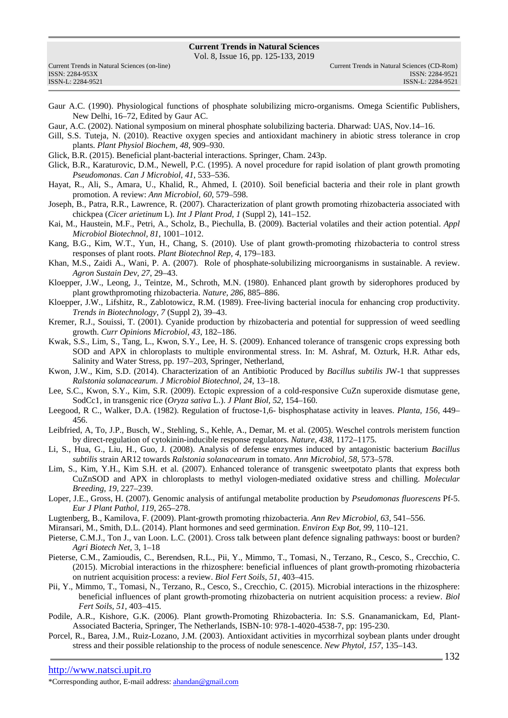Vol. 8, Issue 16, pp. 125-133, 2019

|                   | Current Trends in Natural Sciences (on-line) |
|-------------------|----------------------------------------------|
| ISSN: 2284-953X   |                                              |
| ISSN-L: 2284-9521 |                                              |

- Gaur A.C. (1990). Physiological functions of phosphate solubilizing micro-organisms. Omega Scientific Publishers, New Delhi, 16–72, Edited by Gaur AC.
- Gaur, A.C. (2002). National symposium on mineral phosphate solubilizing bacteria. Dharwad: UAS, Nov.14–16.
- Gill, S.S. Tuteja, N. (2010). Reactive oxygen species and antioxidant machinery in abiotic stress tolerance in crop plants. *Plant Physiol Biochem, 48*, 909–930.
- Glick, B.R. (2015). Beneficial plant-bacterial interactions. Springer, Cham. 243p.
- Glick, B.R., Karaturovic, D.M., Newell, P.C. (1995). A novel procedure for rapid isolation of plant growth promoting *Pseudomonas*. *Can J Microbiol, 41*, 533–536.
- Hayat, R., Ali, S., Amara, U., Khalid, R., Ahmed, I. (2010). Soil beneficial bacteria and their role in plant growth promotion. A review: *Ann Microbiol, 60*, 579–598.
- Joseph, B., Patra, R.R., Lawrence, R. (2007). Characterization of plant growth promoting rhizobacteria associated with chickpea (*Cicer arietinum* L). *Int J Plant Prod, 1* (Suppl 2), 141–152.
- Kai, M., Haustein, M.F., Petri, A., Scholz, B., Piechulla, B. (2009). Bacterial volatiles and their action potential. *Appl Microbiol Biotechnol, 81*, 1001–1012.
- Kang, B.G., Kim, W.T., Yun, H., Chang, S. (2010). Use of plant growth-promoting rhizobacteria to control stress responses of plant roots. *Plant Biotechnol Rep, 4*, 179–183.
- Khan, M.S., Zaidi A., Wani, P. A. (2007). Role of phosphate-solubilizing microorganisms in sustainable. A review. *Agron Sustain Dev, 27*, 29–43.
- Kloepper, J.W., Leong, J., Teintze, M., Schroth, M.N. (1980). Enhanced plant growth by siderophores produced by plant growthpromoting rhizobacteria. *Nature, 286*, 885–886.
- Kloepper, J.W., Lifshitz, R., Zablotowicz, R.M. (1989). Free-living bacterial inocula for enhancing crop productivity. *Trends in Biotechnology, 7* (Suppl 2), 39–43.
- Kremer, R.J., Souissi, T. (2001). Cyanide production by rhizobacteria and potential for suppression of weed seedling growth. *Curr Opinions Microbiol, 43*, 182–186.
- Kwak, S.S., Lim, S., Tang, L., Kwon, S.Y., Lee, H. S. (2009). Enhanced tolerance of transgenic crops expressing both SOD and APX in chloroplasts to multiple environmental stress. In: M. Ashraf, M. Ozturk, H.R. Athar eds, Salinity and Water Stress, pp. 197–203, Springer, Netherland,
- Kwon, J.W., Kim, S.D. (2014). Characterization of an Antibiotic Produced by *Bacillus subtilis* JW-1 that suppresses *Ralstonia solanacearum*. *J Microbiol Biotechnol, 24*, 13–18.
- Lee, S.C., Kwon, S.Y., Kim, S.R. (2009). Ectopic expression of a cold-responsive CuZn superoxide dismutase gene, SodCc1, in transgenic rice (*Oryza sativa* L.). *J Plant Biol, 52*, 154–160.
- Leegood, R C., Walker, D.A. (1982). Regulation of fructose-1,6- bisphosphatase activity in leaves. *Planta, 156*, 449– 456.
- Leibfried, A, To, J.P., Busch, W., Stehling, S., Kehle, A., Demar, M. et al. (2005). Weschel controls meristem function by direct-regulation of cytokinin-inducible response regulators. *Nature, 438*, 1172–1175.
- Li, S., Hua, G., Liu, H., Guo, J. (2008). Analysis of defense enzymes induced by antagonistic bacterium *Bacillus subtilis* strain AR12 towards *Ralstonia solanacearum* in tomato. *Ann Microbiol, 58*, 573–578.
- Lim, S., Kim, Y.H., Kim S.H. et al. (2007). Enhanced tolerance of transgenic sweetpotato plants that express both CuZnSOD and APX in chloroplasts to methyl viologen-mediated oxidative stress and chilling. *Molecular Breeding, 19*, 227–239.
- Loper, J.E., Gross, H. (2007). Genomic analysis of antifungal metabolite production by *Pseudomonas fluorescens* Pf-5. *Eur J Plant Pathol, 119*, 265–278.
- Lugtenberg, B., Kamilova, F. (2009). Plant-growth promoting rhizobacteria. *Ann Rev Microbiol, 63*, 541–556.
- Miransari, M., Smith, D.L. (2014). Plant hormones and seed germination. *Environ Exp Bot, 99*, 110–121.
- Pieterse, C.M.J., Ton J., van Loon. L.C. (2001). Cross talk between plant defence signaling pathways: boost or burden? *Agri Biotech Net*, 3, 1–18
- Pieterse, C.M., Zamioudis, C., Berendsen, R.L., Pii, Y., Mimmo, T., Tomasi, N., Terzano, R., Cesco, S., Crecchio, C. (2015). Microbial interactions in the rhizosphere: beneficial influences of plant growth-promoting rhizobacteria on nutrient acquisition process: a review. *Biol Fert Soils, 51*, 403–415.
- Pii, Y., Mimmo, T., Tomasi, N., Terzano, R., Cesco, S., Crecchio, C. (2015). Microbial interactions in the rhizosphere: beneficial influences of plant growth-promoting rhizobacteria on nutrient acquisition process: a review. *Biol Fert Soils, 51,* 403–415.
- Podile, A.R., Kishore, G.K. (2006). Plant growth-Promoting Rhizobacteria. In: S.S. Gnanamanickam, Ed, Plant-Associated Bacteria, Springer, The Netherlands, ISBN-10: 978-1-4020-4538-7, pp: 195-230.
- Porcel, R., Barea, J.M., Ruiz-Lozano, J.M. (2003). Antioxidant activities in mycorrhizal soybean plants under drought stress and their possible relationship to the process of nodule senescence. *New Phytol, 157*, 135–143.